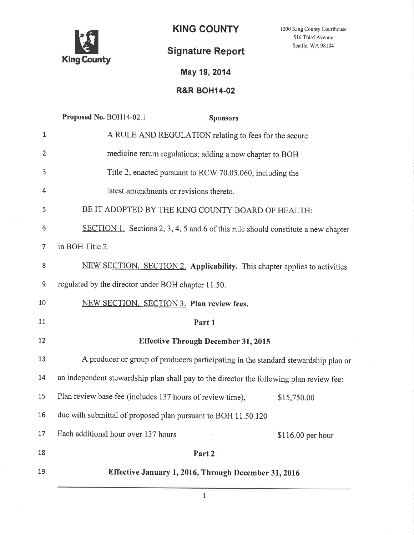

KING COUNTY 1200 King County Courthouse

Signature Report

516 Third Avenue Seattle, WA 98 104

## May 19,2014

## R&R BOH14-02

|                | Proposed No. BOH14-02.1<br><b>Sponsors</b>                                               |  |
|----------------|------------------------------------------------------------------------------------------|--|
| $\mathbf{1}$   | A RULE AND REGULATION relating to fees for the secure                                    |  |
| $\overline{2}$ | medicine return regulations; adding a new chapter to BOH                                 |  |
| 3              | Title 2; enacted pursuant to RCW 70.05.060, including the                                |  |
| 4              | latest amendments or revisions thereto.                                                  |  |
| 5              | BE IT ADOPTED BY THE KING COUNTY BOARD OF HEALTH:                                        |  |
| 6              | SECTION 1. Sections 2, 3, 4, 5 and 6 of this rule should constitute a new chapter        |  |
| 7              | in BOH Title 2.                                                                          |  |
| 8              | NEW SECTION. SECTION 2. Applicability. This chapter applies to activities                |  |
| 9              | regulated by the director under BOH chapter 11.50.                                       |  |
| 10             | NEW SECTION. SECTION 3. Plan review fees.                                                |  |
| 11             | Part 1                                                                                   |  |
| 12             | <b>Effective Through December 31, 2015</b>                                               |  |
| 13             | A producer or group of producers participating in the standard stewardship plan or       |  |
| 14             | an independent stewardship plan shall pay to the director the following plan review fee: |  |
| 15             | Plan review base fee (includes 137 hours of review time),<br>\$15,750.00                 |  |
| 16             | due with submittal of proposed plan pursuant to BOH 11.50.120                            |  |
| 17             | Each additional hour over 137 hours<br>$$116.00$ per hour                                |  |
| 18             | Part 2                                                                                   |  |
| 19             | Effective January 1, 2016, Through December 31, 2016                                     |  |
|                |                                                                                          |  |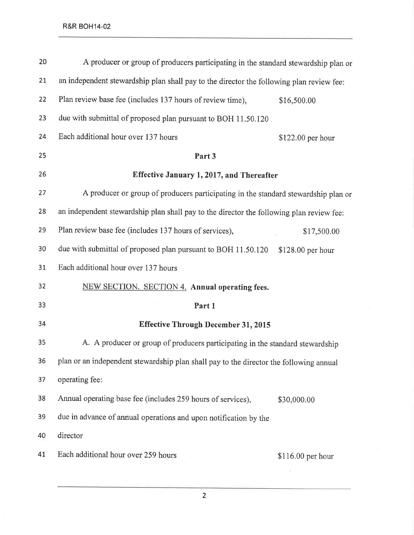| 20 | A producer or group of producers participating in the standard stewardship plan or       |                    |
|----|------------------------------------------------------------------------------------------|--------------------|
| 21 | an independent stewardship plan shall pay to the director the following plan review fee: |                    |
| 22 | Plan review base fee (includes 137 hours of review time),                                | \$16,500.00        |
| 23 | due with submittal of proposed plan pursuant to BOH 11.50.120                            |                    |
| 24 | Each additional hour over 137 hours                                                      | \$122.00 per hour  |
| 25 | Part 3                                                                                   |                    |
| 26 | Effective January 1, 2017, and Thereafter                                                |                    |
| 27 | A producer or group of producers participating in the standard stewardship plan or       |                    |
| 28 | an independent stewardship plan shall pay to the director the following plan review fee: |                    |
| 29 | Plan review base fee (includes 137 hours of services),                                   | \$17,500.00        |
| 30 | due with submittal of proposed plan pursuant to BOH 11.50.120                            | \$128.00 per hour  |
| 31 | Each additional hour over 137 hours                                                      |                    |
| 32 | NEW SECTION. SECTION 4. Annual operating fees.                                           |                    |
| 33 | Part 1                                                                                   |                    |
| 34 | <b>Effective Through December 31, 2015</b>                                               |                    |
| 35 | A. A producer or group of producers participating in the standard stewardship            |                    |
| 36 | plan or an independent stewardship plan shall pay to the director the following annual   |                    |
| 37 | operating fee:                                                                           |                    |
| 38 | Annual operating base fee (includes 259 hours of services),                              | \$30,000.00        |
| 39 | due in advance of annual operations and upon notification by the                         |                    |
| 40 | director                                                                                 |                    |
| 41 | Each additional hour over 259 hours                                                      | $$116.00$ per hour |
|    |                                                                                          |                    |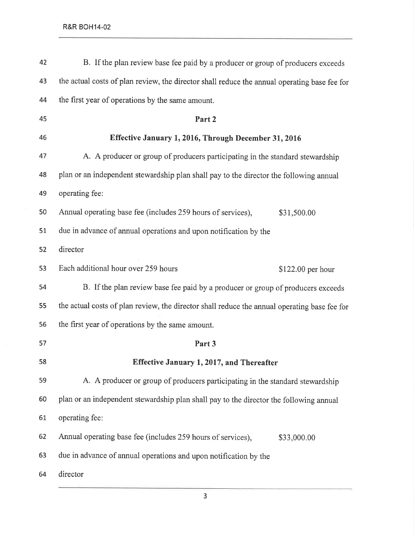| 42 | B. If the plan review base fee paid by a producer or group of producers exceeds              |  |
|----|----------------------------------------------------------------------------------------------|--|
| 43 | the actual costs of plan review, the director shall reduce the annual operating base fee for |  |
| 44 | the first year of operations by the same amount.                                             |  |
| 45 | Part 2                                                                                       |  |
| 46 | Effective January 1, 2016, Through December 31, 2016                                         |  |
| 47 | A. A producer or group of producers participating in the standard stewardship                |  |
| 48 | plan or an independent stewardship plan shall pay to the director the following annual       |  |
| 49 | operating fee:                                                                               |  |
| 50 | Annual operating base fee (includes 259 hours of services),<br>\$31,500.00                   |  |
| 51 | due in advance of annual operations and upon notification by the                             |  |
| 52 | director                                                                                     |  |
| 53 | Each additional hour over 259 hours<br>\$122.00 per hour                                     |  |
| 54 | B. If the plan review base fee paid by a producer or group of producers exceeds              |  |
| 55 | the actual costs of plan review, the director shall reduce the annual operating base fee for |  |
| 56 | the first year of operations by the same amount.                                             |  |
| 57 | Part 3                                                                                       |  |
| 58 | Effective January 1, 2017, and Thereafter                                                    |  |
| 59 | A. A producer or group of producers participating in the standard stewardship                |  |
| 60 | plan or an independent stewardship plan shall pay to the director the following annual       |  |
| 61 | operating fee:                                                                               |  |
| 62 | Annual operating base fee (includes 259 hours of services),<br>\$33,000.00                   |  |
| 63 | due in advance of annual operations and upon notification by the                             |  |
| 64 | director                                                                                     |  |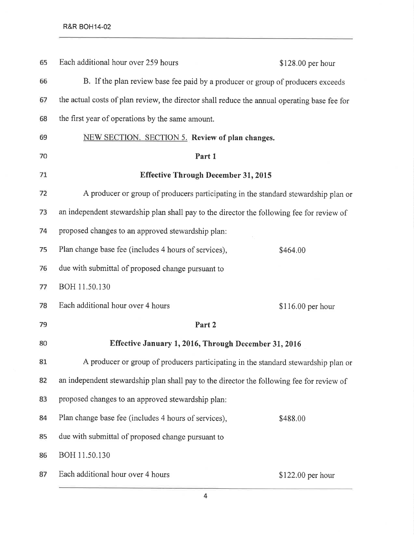| 65 | Each additional hour over 259 hours                                                          | \$128.00 per hour |
|----|----------------------------------------------------------------------------------------------|-------------------|
| 66 | B. If the plan review base fee paid by a producer or group of producers exceeds              |                   |
| 67 | the actual costs of plan review, the director shall reduce the annual operating base fee for |                   |
| 68 | the first year of operations by the same amount.                                             |                   |
| 69 | NEW SECTION. SECTION 5. Review of plan changes.                                              |                   |
| 70 | Part 1                                                                                       |                   |
| 71 | <b>Effective Through December 31, 2015</b>                                                   |                   |
| 72 | A producer or group of producers participating in the standard stewardship plan or           |                   |
| 73 | an independent stewardship plan shall pay to the director the following fee for review of    |                   |
| 74 | proposed changes to an approved stewardship plan:                                            |                   |
| 75 | Plan change base fee (includes 4 hours of services),                                         | \$464.00          |
| 76 | due with submittal of proposed change pursuant to                                            |                   |
| 77 | BOH 11.50.130                                                                                |                   |
| 78 | Each additional hour over 4 hours                                                            | \$116.00 per hour |
| 79 | Part 2                                                                                       |                   |
| 80 | Effective January 1, 2016, Through December 31, 2016                                         |                   |
| 81 | A producer or group of producers participating in the standard stewardship plan or           |                   |
| 82 | an independent stewardship plan shall pay to the director the following fee for review of    |                   |
| 83 | proposed changes to an approved stewardship plan:                                            |                   |
| 84 | Plan change base fee (includes 4 hours of services),                                         | \$488.00          |
| 85 | due with submittal of proposed change pursuant to                                            |                   |
| 86 | BOH 11.50.130                                                                                |                   |
| 87 | Each additional hour over 4 hours                                                            | \$122.00 per hour |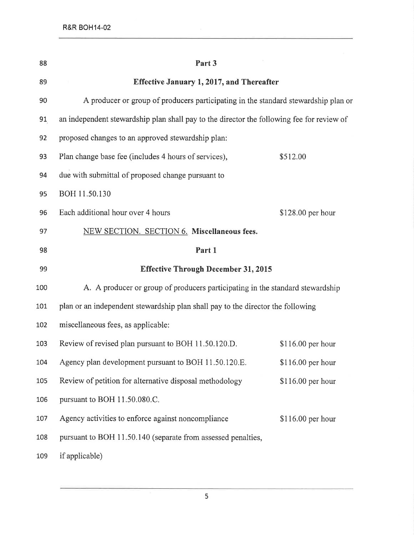| 88  | Part 3                                                                                    |                    |
|-----|-------------------------------------------------------------------------------------------|--------------------|
| 89  | Effective January 1, 2017, and Thereafter                                                 |                    |
| 90  | A producer or group of producers participating in the standard stewardship plan or        |                    |
| 91  | an independent stewardship plan shall pay to the director the following fee for review of |                    |
| 92  | proposed changes to an approved stewardship plan:                                         |                    |
| 93  | Plan change base fee (includes 4 hours of services),                                      | \$512.00           |
| 94  | due with submittal of proposed change pursuant to                                         |                    |
| 95  | BOH 11.50.130                                                                             |                    |
| 96  | Each additional hour over 4 hours                                                         | \$128.00 per hour  |
| 97  | NEW SECTION. SECTION 6. Miscellaneous fees.                                               |                    |
| 98  | Part 1                                                                                    |                    |
| 99  | <b>Effective Through December 31, 2015</b>                                                |                    |
| 100 | A. A producer or group of producers participating in the standard stewardship             |                    |
| 101 | plan or an independent stewardship plan shall pay to the director the following           |                    |
| 102 | miscellaneous fees, as applicable:                                                        |                    |
| 103 | Review of revised plan pursuant to BOH 11.50.120.D.                                       | $$116.00$ per hour |
| 104 | Agency plan development pursuant to BOH 11.50.120.E.                                      | $$116.00$ per hour |
| 105 | Review of petition for alternative disposal methodology                                   | \$116.00 per hour  |
| 106 | pursuant to BOH 11.50.080.C.                                                              |                    |
| 107 | Agency activities to enforce against noncompliance                                        | $$116.00$ per hour |
| 108 | pursuant to BOH 11.50.140 (separate from assessed penalties,                              |                    |
| 109 | if applicable)                                                                            |                    |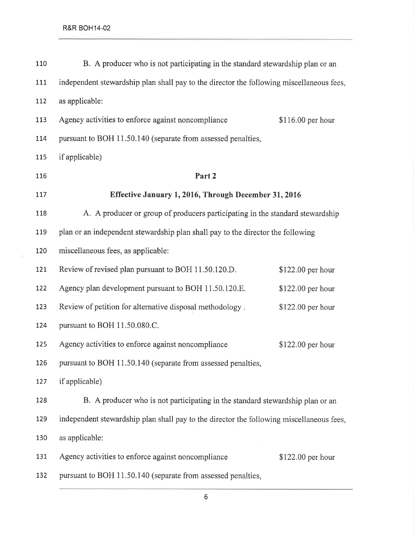$\Xi$ 

| 110 | B. A producer who is not participating in the standard stewardship plan or an            |                   |
|-----|------------------------------------------------------------------------------------------|-------------------|
| 111 | independent stewardship plan shall pay to the director the following miscellaneous fees, |                   |
| 112 | as applicable:                                                                           |                   |
| 113 | Agency activities to enforce against noncompliance                                       | \$116.00 per hour |
| 114 | pursuant to BOH 11.50.140 (separate from assessed penalties,                             |                   |
| 115 | if applicable)                                                                           |                   |
| 116 | Part 2                                                                                   |                   |
| 117 | Effective January 1, 2016, Through December 31, 2016                                     |                   |
| 118 | A. A producer or group of producers participating in the standard stewardship            |                   |
| 119 | plan or an independent stewardship plan shall pay to the director the following          |                   |
| 120 | miscellaneous fees, as applicable:                                                       |                   |
| 121 | Review of revised plan pursuant to BOH 11.50.120.D.                                      | \$122.00 per hour |
| 122 | Agency plan development pursuant to BOH 11.50.120.E.                                     | \$122.00 per hour |
| 123 | Review of petition for alternative disposal methodology.                                 | \$122.00 per hour |
| 124 | pursuant to BOH 11.50.080.C.                                                             |                   |
| 125 | Agency activities to enforce against noncompliance                                       | \$122.00 per hour |
| 126 | pursuant to BOH 11.50.140 (separate from assessed penalties,                             |                   |
| 127 | if applicable)                                                                           |                   |
| 128 | B. A producer who is not participating in the standard stewardship plan or an            |                   |
| 129 | independent stewardship plan shall pay to the director the following miscellaneous fees, |                   |
| 130 | as applicable:                                                                           |                   |
| 131 | Agency activities to enforce against noncompliance                                       | \$122.00 per hour |
| 132 | pursuant to BOH 11.50.140 (separate from assessed penalties,                             |                   |

6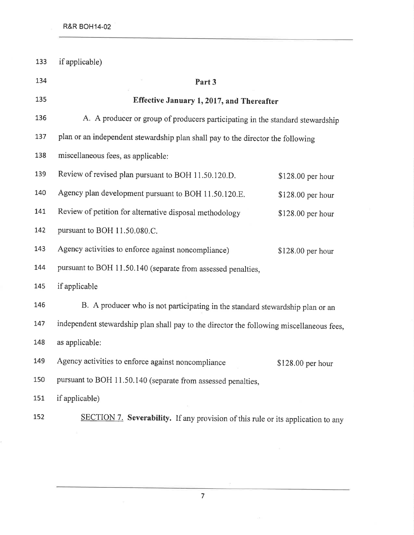| 133 | if applicable)                                                                           |                   |
|-----|------------------------------------------------------------------------------------------|-------------------|
| 134 | Part 3                                                                                   |                   |
| 135 | Effective January 1, 2017, and Thereafter                                                |                   |
| 136 | A. A producer or group of producers participating in the standard stewardship            |                   |
| 137 | plan or an independent stewardship plan shall pay to the director the following          |                   |
| 138 | miscellaneous fees, as applicable:                                                       |                   |
| 139 | Review of revised plan pursuant to BOH 11.50.120.D.                                      | \$128.00 per hour |
| 140 | Agency plan development pursuant to BOH 11.50.120.E.                                     | \$128.00 per hour |
| 141 | Review of petition for alternative disposal methodology                                  | \$128.00 per hour |
| 142 | pursuant to BOH 11.50.080.C.                                                             |                   |
| 143 | Agency activities to enforce against noncompliance)                                      | \$128.00 per hour |
| 144 | pursuant to BOH 11.50.140 (separate from assessed penalties,                             |                   |
| 145 | if applicable                                                                            |                   |
| 146 | B. A producer who is not participating in the standard stewardship plan or an            |                   |
| 147 | independent stewardship plan shall pay to the director the following miscellaneous fees, |                   |
| 148 | as applicable:                                                                           |                   |
| 149 | Agency activities to enforce against noncompliance                                       | \$128.00 per hour |
| 150 | pursuant to BOH 11.50.140 (separate from assessed penalties,                             |                   |
| 151 | if applicable)                                                                           |                   |
| 152 | SECTION 7. Severability. If any provision of this rule or its application to any         |                   |

 $\langle \sigma \rangle$